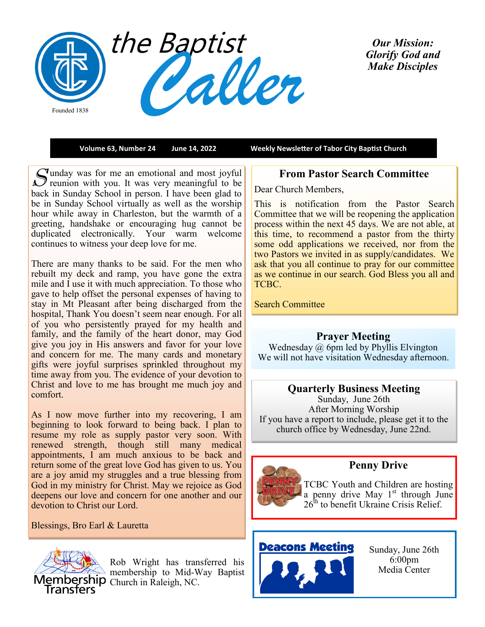

*Our Mission: Glorify God and Make Disciples* 

**Volume 63, Number 24 June 14, 2022 Weekly Newsletter of Tabor City Baptist Church**

Sunday was for me an emotional and most joyful<br>Sequence with you. It was very meaningful to be unday was for me an emotional and most joyful back in Sunday School in person. I have been glad to be in Sunday School virtually as well as the worship hour while away in Charleston, but the warmth of a greeting, handshake or encouraging hug cannot be duplicated electronically. Your warm welcome continues to witness your deep love for me.

There are many thanks to be said. For the men who rebuilt my deck and ramp, you have gone the extra mile and I use it with much appreciation. To those who gave to help offset the personal expenses of having to stay in Mt Pleasant after being discharged from the hospital, Thank You doesn't seem near enough. For all of you who persistently prayed for my health and family, and the family of the heart donor, may God give you joy in His answers and favor for your love and concern for me. The many cards and monetary gifts were joyful surprises sprinkled throughout my time away from you. The evidence of your devotion to Christ and love to me has brought me much joy and comfort.

As I now move further into my recovering, I am beginning to look forward to being back. I plan to resume my role as supply pastor very soon. With renewed strength, though still many medical appointments, I am much anxious to be back and return some of the great love God has given to us. You are a joy amid my struggles and a true blessing from God in my ministry for Christ. May we rejoice as God deepens our love and concern for one another and our devotion to Christ our Lord.

Blessings, Bro Earl & Lauretta



Rob Wright has transferred his membership to Mid-Way Baptist Membership Church in Raleigh, NC.

# **From Pastor Search Committee**

Dear Church Members,

This is notification from the Pastor Search Committee that we will be reopening the application process within the next 45 days. We are not able, at this time, to recommend a pastor from the thirty some odd applications we received, nor from the two Pastors we invited in as supply/candidates. We ask that you all continue to pray for our committee as we continue in our search. God Bless you all and TCBC.

Search Committee

# **Prayer Meeting**

Wednesday @ 6pm led by Phyllis Elvington We will not have visitation Wednesday afternoon.

### **Quarterly Business Meeting**

Sunday, June 26th After Morning Worship If you have a report to include, please get it to the church office by Wednesday, June 22nd.



# **Penny Drive**

TCBC Youth and Children are hosting a penny drive May  $1<sup>st</sup>$  through June  $26<sup>th</sup>$  to benefit Ukraine Crisis Relief.

# **Deacons Meeting**



Sunday, June 26th 6:00pm Media Center